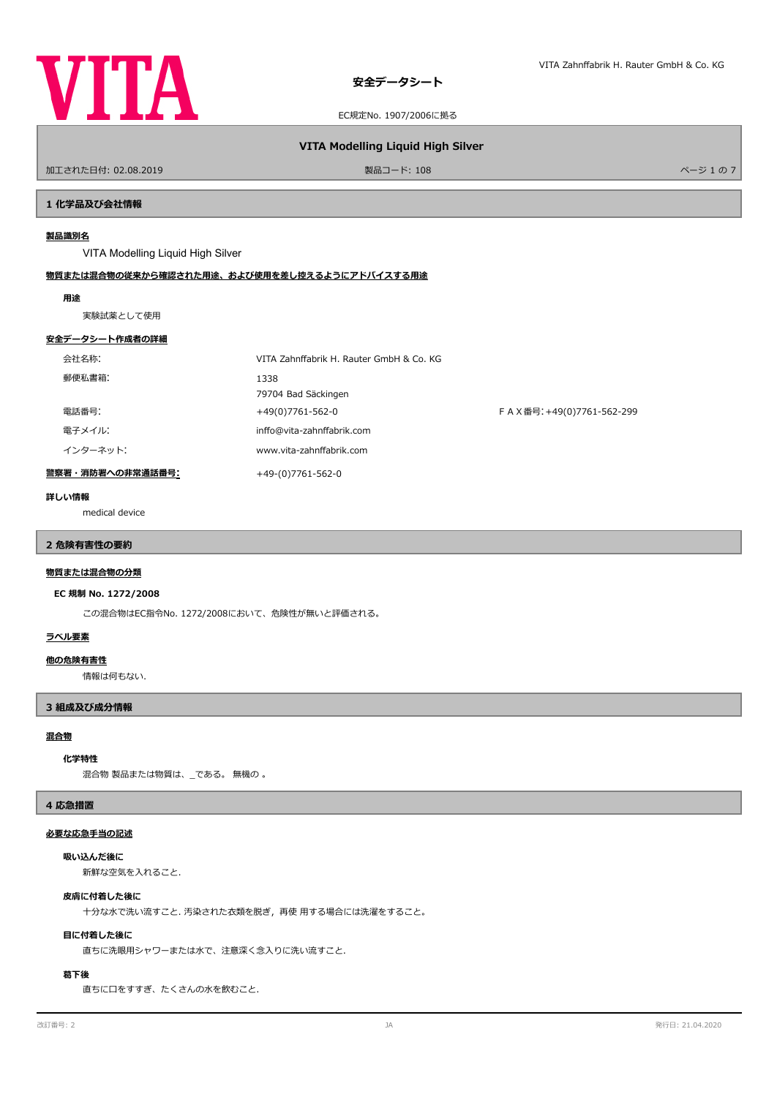

### 加工された日付: 02.08.2019 製品コード: 108 ページ 1 の 7

**VITA Modelling Liquid High Silver**

### **1 化学品及び会社情報**

# **製品識別名**

VITA Modelling Liquid High Silver

# **物質または混合物の従来から確認された用途、および使用を差し控えるようにアドバイスする用途**

### **用途**

実験試薬として使用

### **安全データシート作成者の詳細**

| 会社名称:            | VITA Zahnffabrik H. Rauter GmbH & Co. KG |                           |
|------------------|------------------------------------------|---------------------------|
| 郵便私書箱:           | 1338<br>79704 Bad Säckingen              |                           |
| 電話番号:            | +49(0)7761-562-0                         | FAX番号: +49(0)7761-562-299 |
| 電子メイル:           | inffo@vita-zahnffabrik.com               |                           |
| インターネット:         | www.vita-zahnffabrik.com                 |                           |
| 警察署・消防署への非常通話番号: | +49-(0)7761-562-0                        |                           |

#### **詳しい情報**

medical device

# **2 危険有害性の要約**

# **物質または混合物の分類**

### **EC 規制 No. 1272/2008**

この混合物はEC指令No. 1272/2008において、危険性が無いと評価される。

# **ラベル要素**

# **他の危険有害性**

情報は何もない.

# **3 組成及び成分情報**

# **混合物**

### **化学特性**

混合物 製品または物質は、\_である。 無機の 。

# **4 応急措置**

### **必要な応急手当の記述**

# **吸い込んだ後に**

新鮮な空気を入れること.

# **皮膚に付着した後に**

十分な水で洗い流すこと. 汚染された衣類を脱ぎ,再使 用する場合には洗濯をすること。

### **目に付着した後に**

直ちに洗眼用シャワーまたは水で、注意深く念入りに洗い流すこと.

### **葛下後**

直ちに口をすすぎ、たくさんの水を飲むこと.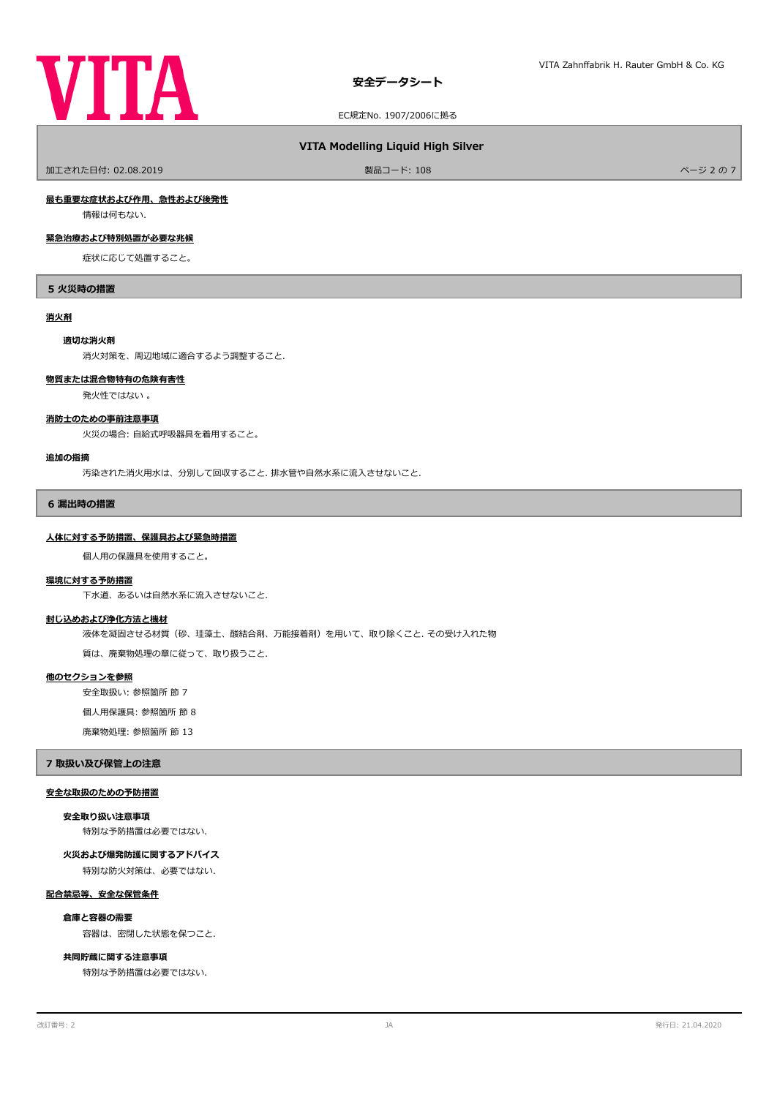

# **VITA Modelling Liquid High Silver**

ールエされた日付: 02.08.2019 しかい こうしょう おおとこ かんきょう かんきょう 製品コード: 108 パージ 2 の 7 ページ 2 の 7 パージ 2 の 7

### **最も重要な症状および作用、急性および後発性**

情報は何もない.

# **緊急治療および特別処置が必要な兆候**

症状に応じて処置すること。

### **5 火災時の措置**

### **消火剤**

#### **適切な消火剤**

消火対策を、周辺地域に適合するよう調整すること.

### **物質または混合物特有の危険有害性**

発火性ではない 。

# **消防士のための事前注意事項**

火災の場合: 自給式呼吸器具を着用すること。

### **追加の指摘**

汚染された消火用水は、分別して回収すること. 排水管や自然水系に流入させないこと.

### **6 漏出時の措置**

#### **人体に対する予防措置、保護具および緊急時措置**

個人用の保護具を使用すること。

#### **環境に対する予防措置**

下水道、あるいは自然水系に流入させないこと.

### **封じ込めおよび浄化方法と機材**

液体を凝固させる材質(砂、珪藻土、酸結合剤、万能接着剤)を用いて、取り除くこと. その受け入れた物

質は、廃棄物処理の章に従って、取り扱うこと.

# **他のセクションを参照**

安全取扱い: 参照箇所 節 7

個人用保護具: 参照箇所 節 8

廃棄物処理: 参照箇所 節 13

### **7 取扱い及び保管上の注意**

### **安全な取扱のための予防措置**

# **安全取り扱い注意事項**

特別な予防措置は必要ではない.

### **火災および爆発防護に関するアドバイス**

特別な防火対策は、必要ではない.

# **配合禁忌等、安全な保管条件**

### **倉庫と容器の需要**

容器は、密閉した状態を保つこと.

# **共同貯蔵に関する注意事項**

特別な予防措置は必要ではない.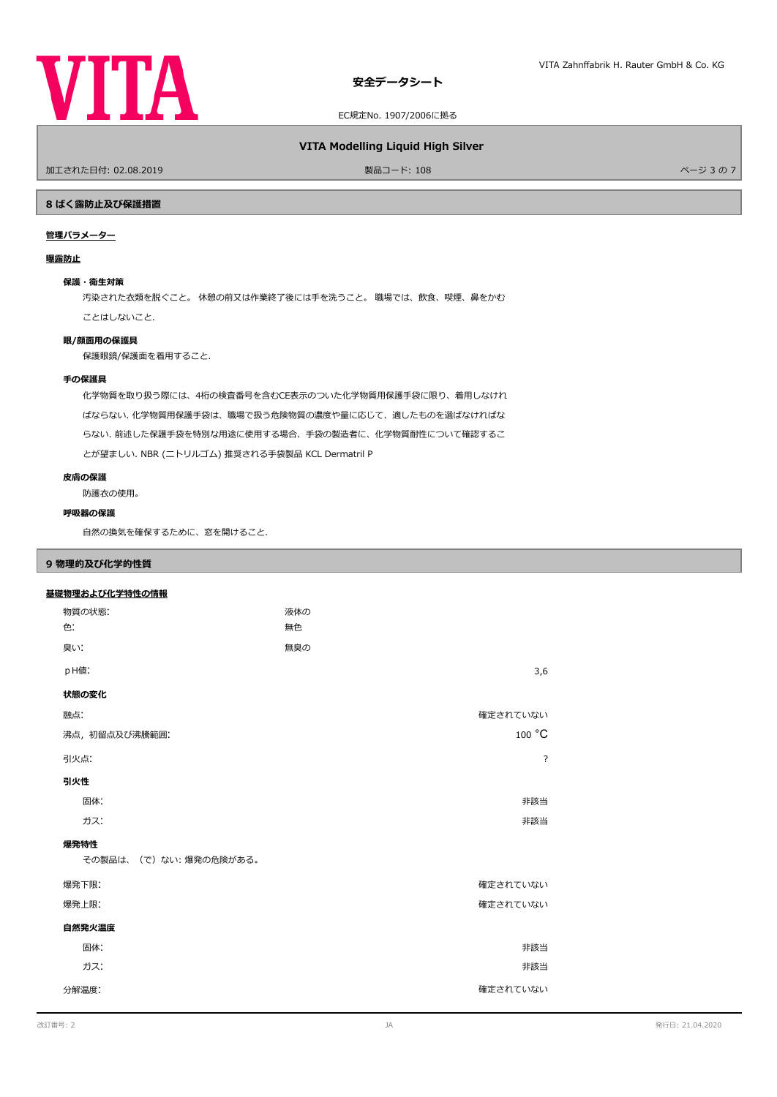

# **VITA Modelling Liquid High Silver**

加工された日付: 02.08.2019 製品コード: 108 ページ 3 の 7

# **8 ばく露防止及び保護措置**

# **管理パラメーター**

# **曝露防止**

### **保護・衛生対策**

汚染された衣類を脱ぐこと。 休憩の前又は作業終了後には手を洗うこと。 職場では、飲食、喫煙、鼻をかむ ことはしないこと.

### **眼/顔面用の保護具**

保護眼鏡/保護面を着用すること.

# **手の保護具**

化学物質を取り扱う際には、4桁の検査番号を含むCE表示のついた化学物質用保護手袋に限り、着用しなけれ ばならない. 化学物質用保護手袋は、職場で扱う危険物質の濃度や量に応じて、適したものを選ばなければな らない. 前述した保護手袋を特別な用途に使用する場合、手袋の製造者に、化学物質耐性について確認するこ とが望ましい. NBR (ニトリルゴム) 推奨される手袋製品 KCL Dermatril P

# **皮膚の保護**

防護衣の使用。

# **呼吸器の保護**

自然の換気を確保するために、窓を開けること.

# **9 物理的及び化学的性質**

### **基礎物理および化学特性の情報**

| 物質の状態:                | 液体の |          |  |  |
|-----------------------|-----|----------|--|--|
| 色.                    | 無色  |          |  |  |
| 臭い:                   | 無臭の |          |  |  |
| pH値:                  |     | 3,6      |  |  |
| 状態の変化                 |     |          |  |  |
| 融点:                   |     | 確定されていない |  |  |
| 沸点, 初留点及び沸騰範囲:        |     | 100 °C   |  |  |
| 引火点:                  |     | ?        |  |  |
| 引火性                   |     |          |  |  |
| 固体:                   |     | 非該当      |  |  |
| ガス:                   |     | 非該当      |  |  |
| 爆発特性                  |     |          |  |  |
| その製品は、(で)ない:爆発の危険がある。 |     |          |  |  |
| 爆発下限:                 |     | 確定されていない |  |  |
| 爆発上限:                 |     | 確定されていない |  |  |
| 自然発火温度                |     |          |  |  |
| 固体:                   |     | 非該当      |  |  |
| ガス:                   |     | 非該当      |  |  |
| 分解温度:                 |     | 確定されていない |  |  |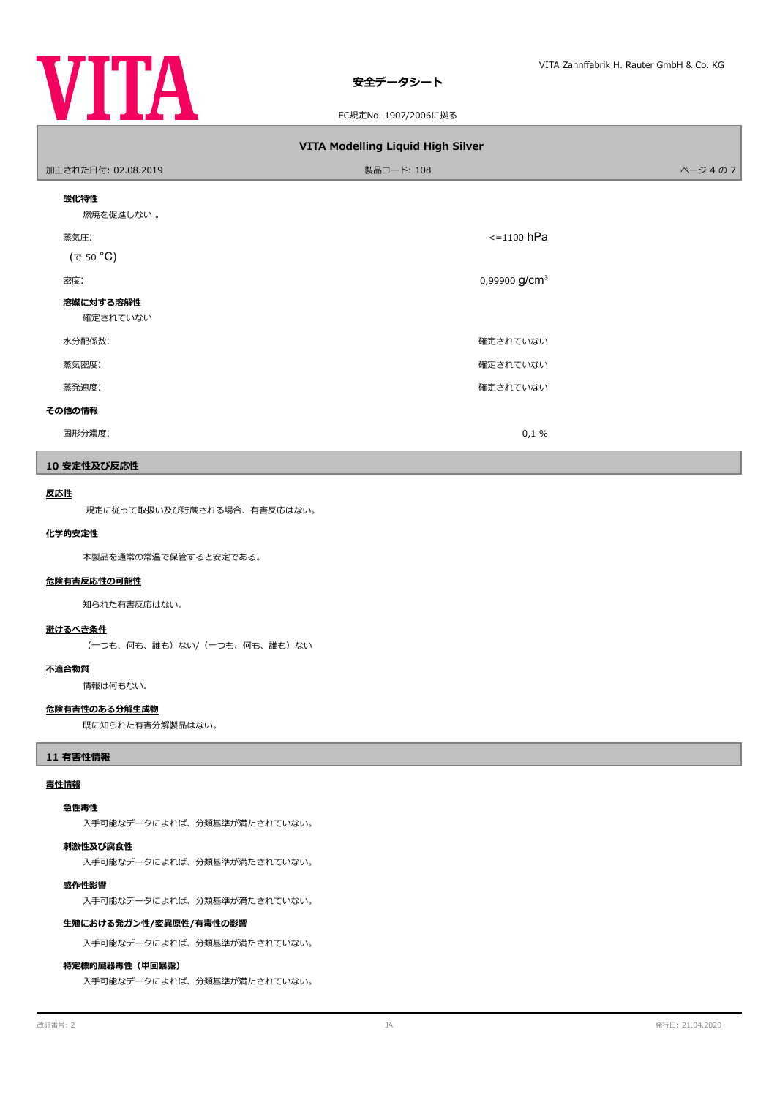

# **安全データシート**

EC規定No. 1907/2006に拠る

| VITA Modelling Liquid High Silver |                           |        |  |  |  |  |  |
|-----------------------------------|---------------------------|--------|--|--|--|--|--|
| 加工された日付: 02.08.2019               | 製品コード: 108                | ページ4の7 |  |  |  |  |  |
| 酸化特性<br>燃焼を促進しない。                 |                           |        |  |  |  |  |  |
| 蒸気圧:<br>$(\tau$ 50 °C)            | $\le$ =1100 hPa           |        |  |  |  |  |  |
| 密度:                               | 0,99900 g/cm <sup>3</sup> |        |  |  |  |  |  |
| 溶媒に対する溶解性<br>確定されていない             |                           |        |  |  |  |  |  |
| 水分配係数:                            | 確定されていない                  |        |  |  |  |  |  |
| 蒸気密度:                             | 確定されていない                  |        |  |  |  |  |  |
| 蒸発速度:                             | 確定されていない                  |        |  |  |  |  |  |
| その他の情報                            |                           |        |  |  |  |  |  |
| 固形分濃度:                            | 0,1%                      |        |  |  |  |  |  |

# **10 安定性及び反応性**

### **反応性**

規定に従って取扱い及び貯蔵される場合、有害反応はない。

#### **化学的安定性**

本製品を通常の常温で保管すると安定である。

#### **危険有害反応性の可能性**

知られた有害反応はない。

# **避けるべき条件**

(一つも、何も、誰も)ない/(一つも、何も、誰も)ない

### **不適合物質**

情報は何もない.

# **危険有害性のある分解生成物**

既に知られた有害分解製品はない。

# **11 有害性情報**

# **毒性情報**

### **急性毒性**

入手可能なデータによれば、分類基準が満たされていない。

### **刺激性及び腐食性**

入手可能なデータによれば、分類基準が満たされていない。

# **感作性影響**

入手可能なデータによれば、分類基準が満たされていない。

# **生殖における発ガン性/変異原性/有毒性の影響**

入手可能なデータによれば、分類基準が満たされていない。

### **特定標的臓器毒性(単回暴露)**

入手可能なデータによれば、分類基準が満たされていない。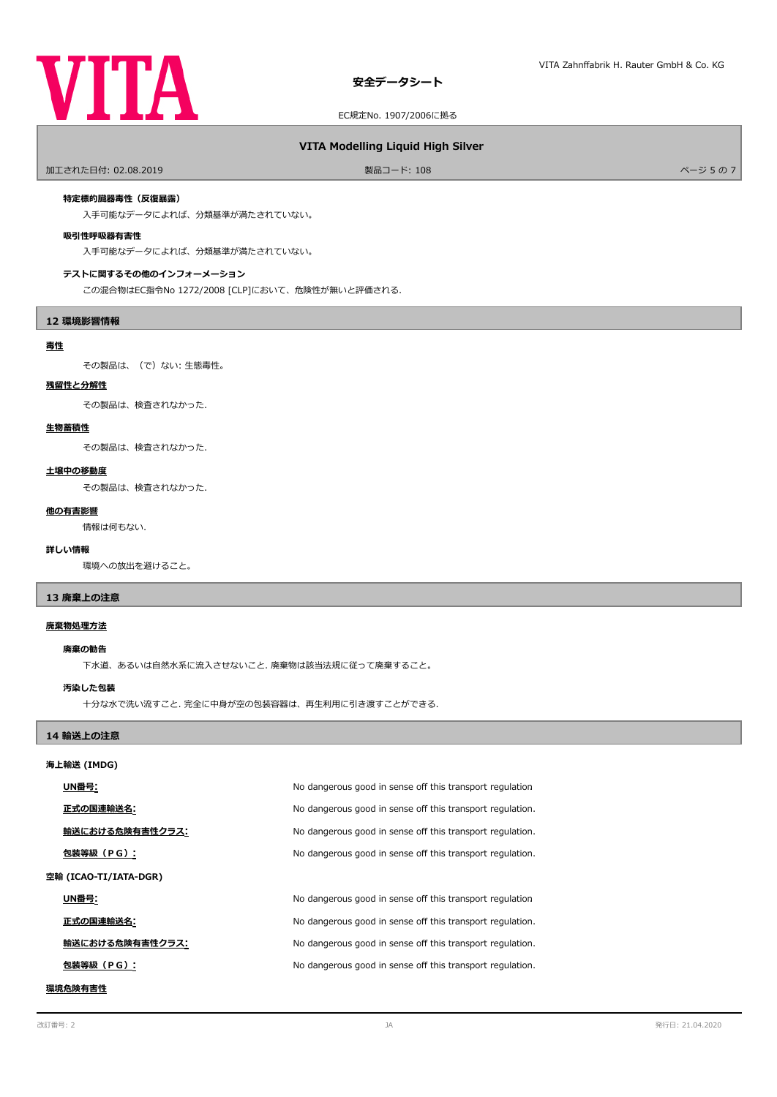

# **VITA Modelling Liquid High Silver**

ールエされた日付: 02.08.2019 しかい インタン アンディアン リード: 108 ページ 5 の 7 ページ 5 の 7 ページ 5 の 7 ページ 5 の 7

### **特定標的臓器毒性(反復暴露)**

入手可能なデータによれば、分類基準が満たされていない。

### **吸引性呼吸器有害性**

入手可能なデータによれば、分類基準が満たされていない。

### **テストに関するその他のインフォーメーション**

この混合物はEC指令No 1272/2008 [CLP]において、危険性が無いと評価される.

# **12 環境影響情報**

### **毒性**

その製品は、(で)ない: 生態毒性。

### **残留性と分解性**

その製品は、検査されなかった.

# **生物蓄積性**

その製品は、検査されなかった.

### **土壌中の移動度**

その製品は、検査されなかった.

# **他の有害影響**

情報は何もない.

### **詳しい情報**

環境への放出を避けること。

# **13 廃棄上の注意**

# **廃棄物処理方法**

#### **廃棄の勧告**

下水道、あるいは自然水系に流入させないこと. 廃棄物は該当法規に従って廃棄すること。

### **汚染した包装**

十分な水で洗い流すこと. 完全に中身が空の包装容器は、再生利用に引き渡すことができる.

# **14 輸送上の注意**

### **海上輸送 (IMDG)**

|                       | UN番号:           | No dangerous good in sense off this transport regulation  |
|-----------------------|-----------------|-----------------------------------------------------------|
|                       | 正式の国連輸送名:       | No dangerous good in sense off this transport regulation. |
|                       | 輸送における危険有害性クラス: | No dangerous good in sense off this transport regulation. |
|                       | 包装等級(PG):       | No dangerous good in sense off this transport regulation. |
| 空輸 (ICAO-TI/IATA-DGR) |                 |                                                           |
|                       | UN番号:           | No dangerous good in sense off this transport regulation  |
|                       | 正式の国連輸送名:       | No dangerous good in sense off this transport regulation. |
|                       | 輸送における危険有害性クラス: | No dangerous good in sense off this transport regulation. |
|                       | 包装等級(PG):       | No dangerous good in sense off this transport regulation. |
|                       |                 |                                                           |

# **環境危険有害性**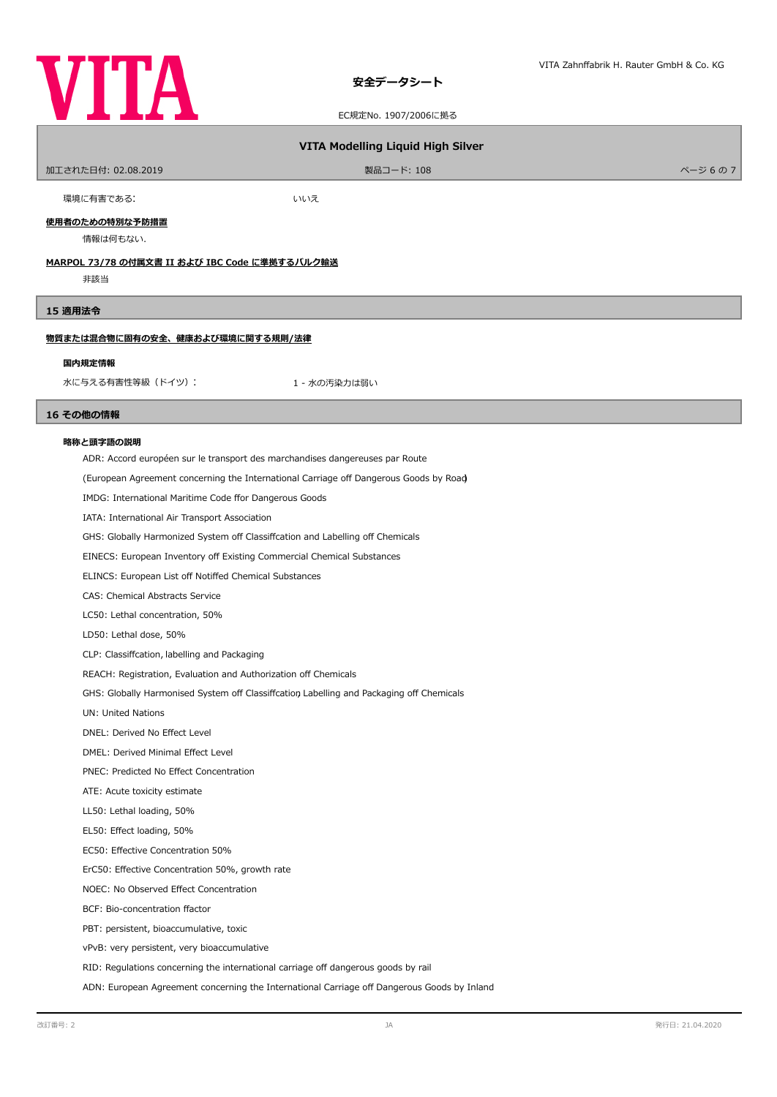

# **安全データシート**

EC規定No. 1907/2006に拠る

# **VITA Modelling Liquid High Silver**

| 加工された日付: 02.08.2019 | 製品コード: 108 | ページ 6の7 |
|---------------------|------------|---------|
|                     |            |         |

環境に有害である: まんない しんけい しんいえい

**使用者のための特別な予防措置**

情報は何もない.

# **MARPOL 73/78 の付属文書 II および IBC Code に準拠するバルク輸送**

非該当

### **15 適用法令**

# **物質または混合物に固有の安全、健康および環境に関する規則/法律**

#### **国内規定情報**

水に与える有害性等級 (ドイツ): カンチャング キャンパ 1 - 水の汚染力は弱い

# **16 その他の情報**

### **略称と頭字語の説明**

ADR: Accord européen sur le transport des marchandises dangereuses par Route

(European Agreement concerning the International Carriage of Dangerous Goods by Road)

IMDG: International Maritime Code ffor Dangerous Goods

IATA: International Air Transport Association

GHS: Globally Harmonized System off Classiffcation and Labelling off Chemicals

EINECS: European Inventory of Existing Commercial Chemical Substances

ELINCS: European List off Notiffed Chemical Substances

CAS: Chemical Abstracts Service

LC50: Lethal concentration, 50%

LD50: Lethal dose, 50%

CLP: Classifcation, labelling and Packaging

REACH: Registration, Evaluation and Authorization off Chemicals

GHS: Globally Harmonised System off Classiffcation, Labelling and Packaging off Chemicals

UN: United Nations

DNEL: Derived No Efect Level

DMEL: Derived Minimal Efect Level

PNEC: Predicted No Efect Concentration

ATE: Acute toxicity estimate

LL50: Lethal loading, 50%

EL50: Efect loading, 50%

EC50: Efective Concentration 50%

ErC50: Efective Concentration 50%, growth rate

NOEC: No Observed Efect Concentration

BCF: Bio-concentration factor

PBT: persistent, bioaccumulative, toxic

vPvB: very persistent, very bioaccumulative

RID: Regulations concerning the international carriage off dangerous goods by rail

ADN: European Agreement concerning the International Carriage off Dangerous Goods by Inland